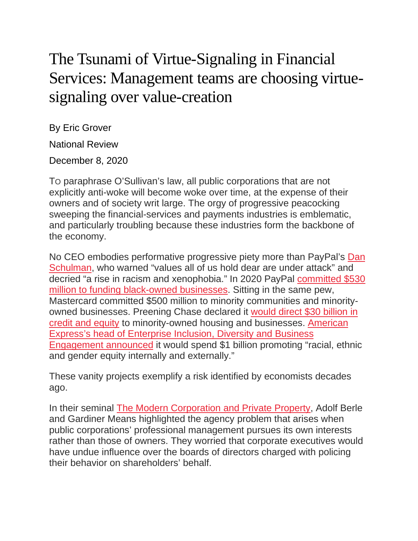## The Tsunami of Virtue-Signaling in Financial Services: Management teams are choosing virtuesignaling over value-creation

By Eric Grover

National Review

December 8, 2020

TO paraphrase O'Sullivan's law, all public corporations that are not explicitly anti-woke will become woke over time, at the expense of their owners and of society writ large. The orgy of progressive peacocking sweeping the financial-services and payments industries is emblematic, and particularly troubling because these industries form the backbone of the economy.

No CEO embodies performative progressive piety more than PayPal's [Dan](https://www.linkedin.com/pulse/taking-action-racial-equity-social-justice-dan-schulman/) [Schulman,](https://www.linkedin.com/pulse/taking-action-racial-equity-social-justice-dan-schulman/) who warned "values all of us hold dear are under attack" and decried "a rise in racism and xenophobia." In 2020 PayPal [committed](https://newsroom.paypal-corp.com/2020-06-11-PayPal-Announces-530-Million-Commitment-to-Support-Black-Businesses-Strengthen-Minority-Communities-and-Fight-Economic-Inequality) \$530 million to funding [black-owned](https://newsroom.paypal-corp.com/2020-06-11-PayPal-Announces-530-Million-Commitment-to-Support-Black-Businesses-Strengthen-Minority-Communities-and-Fight-Economic-Inequality) businesses. Sitting in the same pew, Mastercard committed \$500 million to minority communities and minorityowned businesses. Preening Chase declared it [would](https://www.forbes.com/sites/ruthumoh/2020/10/08/jpmorgan-announces-30-billion-commitment-to-advance-racial-equity/#49f8e1b22434) direct \$30 billion in credit and [equity](https://www.forbes.com/sites/ruthumoh/2020/10/08/jpmorgan-announces-30-billion-commitment-to-advance-racial-equity/#49f8e1b22434) to minority-owned housing and businesses. [American](https://www.paymentssource.com/news/amex-commits-1-billion-to-diversity-action-plan) Express's head of [Enterprise](https://www.paymentssource.com/news/amex-commits-1-billion-to-diversity-action-plan) Inclusion, Diversity and Business [Engagement](https://www.paymentssource.com/news/amex-commits-1-billion-to-diversity-action-plan) announced it would spend \$1 billion promoting "racial, ethnic and gender equity internally and externally."

These vanity projects exemplify a risk identified by economists decades ago.

In their seminal The Modern [Corporation](https://www.amazon.com/Modern-Corporation-Private-Property/dp/0887388876) and Private Property, Adolf Berle and Gardiner Means highlighted the agency problem that arises when public corporations' professional management pursues its own interests rather than those of owners. They worried that corporate executives would have undue influence over the boards of directors charged with policing their behavior on shareholders' behalf.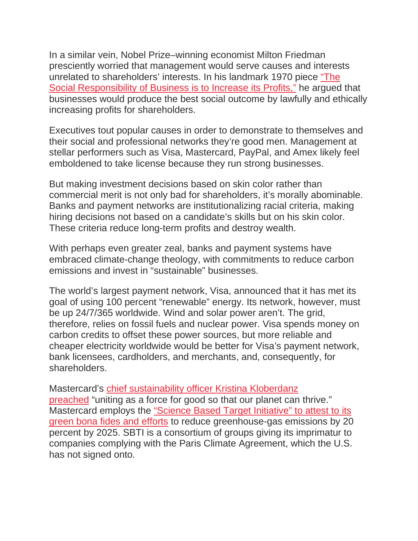In a similar vein, Nobel Prize–winning economist Milton Friedman presciently worried that management would serve causes and interests unrelated to shareholders' interests. In his landmark 1970 piece ["The](http://www.umich.edu/%7Ethecore/doc/Friedman.pdf) Social [Responsibility](http://www.umich.edu/%7Ethecore/doc/Friedman.pdf) of Business is to Increase its Profits," he argued that businesses would produce the best social outcome by lawfully and ethically increasing profits for shareholders.

Executives tout popular causes in order to demonstrate to themselves and their social and professional networks they're good men. Management at stellar performers such as Visa, Mastercard, PayPal, and Amex likely feel emboldened to take license because they run strong businesses.

But making investment decisions based on skin color rather than commercial merit is not only bad for shareholders, it's morally abominable. Banks and payment networks are institutionalizing racial criteria, making hiring decisions not based on a candidate's skills but on his skin color. These criteria reduce long-term profits and destroy wealth.

With perhaps even greater zeal, banks and payment systems have embraced climate-change theology, with commitments to reduce carbon emissions and invest in "sustainable" businesses.

The world's largest payment network, Visa, announced that it has met its goal of using 100 percent "renewable" energy. Its network, however, must be up 24/7/365 worldwide. Wind and solar power aren't. The grid, therefore, relies on fossil fuels and nuclear power. Visa spends money on carbon credits to offset these power sources, but more reliable and cheaper electricity worldwide would be better for Visa's payment network, bank licensees, cardholders, and merchants, and, consequently, for shareholders.

Mastercard's chief [sustainability](https://mastercardcontentexchange.com/newsroom/press-releases/2020/january/mastercard-and-partners-launch-priceless-planet-coalition-to-act-on-climate-change/) officer Kristina Kloberdanz [preached](https://mastercardcontentexchange.com/newsroom/press-releases/2020/january/mastercard-and-partners-launch-priceless-planet-coalition-to-act-on-climate-change/) "uniting as a force for good so that our planet can thrive." Mastercard employs the "Science Based Target [Initiative"](https://newsroom.mastercard.com/press-releases/mastercard-is-first-payments-player-to-receive-approval-for-science-based-emissions-target/) to attest to its green bona fides and [efforts](https://newsroom.mastercard.com/press-releases/mastercard-is-first-payments-player-to-receive-approval-for-science-based-emissions-target/) to reduce greenhouse-gas emissions by 20 percent by 2025. SBTI is a consortium of groups giving its imprimatur to companies complying with the Paris Climate Agreement, which the U.S. has not signed onto.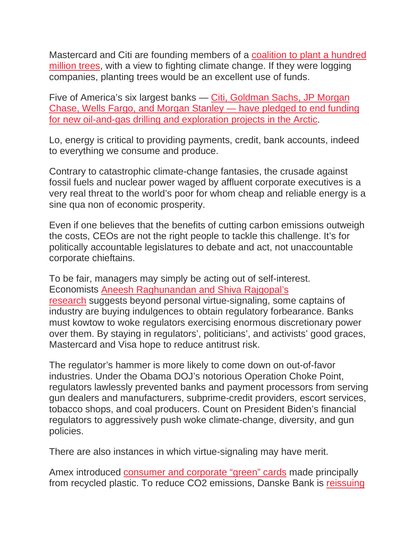Mastercard and Citi are founding members of a [coalition](https://mastercardcontentexchange.com/newsroom/press-releases/2020/january/mastercard-and-partners-launch-priceless-planet-coalition-to-act-on-climate-change/) to plant a hundred [million](https://mastercardcontentexchange.com/newsroom/press-releases/2020/january/mastercard-and-partners-launch-priceless-planet-coalition-to-act-on-climate-change/) trees, with a view to fighting climate change. If they were logging companies, planting trees would be an excellent use of funds.

Five of America's six largest banks — Citi, [Goldman](https://www.wsj.com/articles/banks-arctic-financing-retreat-rattles-oil-industry-11602157853) Sachs, JP Morgan Chase, Wells Fargo, and Morgan Stanley — have [pledged](https://www.wsj.com/articles/banks-arctic-financing-retreat-rattles-oil-industry-11602157853) to end funding for new [oil-and-gas](https://www.wsj.com/articles/banks-arctic-financing-retreat-rattles-oil-industry-11602157853) drilling and exploration projects in the Arctic.

Lo, energy is critical to providing payments, credit, bank accounts, indeed to everything we consume and produce.

Contrary to catastrophic climate-change fantasies, the crusade against fossil fuels and nuclear power waged by affluent corporate executives is a very real threat to the world's poor for whom cheap and reliable energy is a sine qua non of economic prosperity.

Even if one believes that the benefits of cutting carbon emissions outweigh the costs, CEOs are not the right people to tackle this challenge. It's for politically accountable legislatures to debate and act, not unaccountable corporate chieftains.

To be fair, managers may simply be acting out of self-interest. Economists Aneesh [Raghunandan](https://www.wsj.com/articles/is-there-real-virtue-behind-the-business-roundtables-signaling-11575330172?mod=searchresults&page=1&pos=1) and Shiva Rajgopal's [research](https://www.wsj.com/articles/is-there-real-virtue-behind-the-business-roundtables-signaling-11575330172?mod=searchresults&page=1&pos=1) suggests beyond personal virtue-signaling, some captains of industry are buying indulgences to obtain regulatory forbearance. Banks must kowtow to woke regulators exercising enormous discretionary power over them. By staying in regulators', politicians', and activists' good graces, Mastercard and Visa hope to reduce antitrust risk.

The regulator's hammer is more likely to come down on out-of-favor industries. Under the Obama DOJ's notorious Operation Choke Point, regulators lawlessly prevented banks and payment processors from serving gun dealers and manufacturers, subprime-credit providers, escort services, tobacco shops, and coal producers. Count on President Biden's financial regulators to aggressively push woke climate-change, diversity, and gun policies.

There are also instances in which virtue-signaling may have merit.

Amex introduced [consumer](https://www.businesswire.com/news/home/20190916005287/en/American-Express-and-Parley-for-the-Oceans-Announce-First-Ever-Card-Made-Primarily-with-Reclaimed-Plastic-from-Parley-and-Launch-a-Global-Campaign-to-BackOurOceans) and corporate "green" cards made principally from recycled plastic. To reduce CO2 emissions, Danske Bank is [reissuing](https://danskebank.com/news-and-insights/news-archive/news/2020/29102020b)